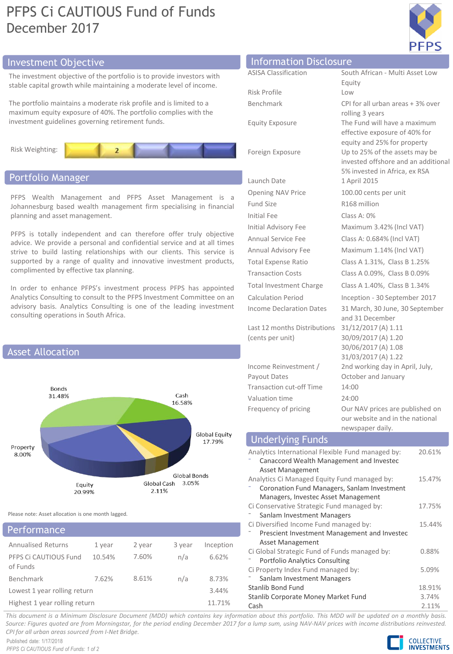# PFPS Ci CAUTIOUS Fund of Funds December 2017



additional

# Investment Objective Information Disclosure

The investment objective of the portfolio is to provide investors with stable capital growth while maintaining a moderate level of income.

The portfolio maintains a moderate risk profile and is limited to a maximum equity exposure of 40%. The portfolio complies with the investment guidelines governing retirement funds.



# Portfolio Manager

PFPS Wealth Management and PFPS Asset Management is Johannesburg based wealth management firm specialising in finane planning and asset management.

PFPS is totally independent and can therefore offer truly object advice. We provide a personal and confidential service and at all tir strive to build lasting relationships with our clients. This service is supported by a range of quality and innovative investment products, complimented by effective tax planning.

In order to enhance PFPS's investment process PFPS has appointed Analytics Consulting to consult to the PFPS Investment Committee on an advisory basis. Analytics Consulting is one of the leading investment consulting operations in South Africa.



Please note: Asset allocation is one month lagged.

# Performance

| <b>Annualised Returns</b>         | 1 year | 2 year | 3 year | Inception |
|-----------------------------------|--------|--------|--------|-----------|
| PFPS Ci CAUTIOUS Fund<br>of Funds | 10.54% | 7.60%  | n/a    | 6.62%     |
| Benchmark                         | 7.62%  | 8.61%  | n/a    | 8.73%     |
| Lowest 1 year rolling return      | 3.44%  |        |        |           |
| Highest 1 year rolling return     | 11.71% |        |        |           |

|             | IIIIUHIIALIUII PISCLUSUI E  |                                                                                                     |  |  |  |
|-------------|-----------------------------|-----------------------------------------------------------------------------------------------------|--|--|--|
|             | <b>ASISA Classification</b> | South African - Multi Asset Low<br>Equity                                                           |  |  |  |
|             | Risk Profile                | Low                                                                                                 |  |  |  |
|             |                             |                                                                                                     |  |  |  |
|             | <b>Benchmark</b>            | CPI for all urban areas + 3% over<br>rolling 3 years                                                |  |  |  |
|             | <b>Equity Exposure</b>      | The Fund will have a maximum<br>effective exposure of 40% for<br>equity and 25% for property        |  |  |  |
|             | Foreign Exposure            | Up to 25% of the assets may be<br>invested offshore and an additio<br>5% invested in Africa, ex RSA |  |  |  |
|             | Launch Date                 | 1 April 2015                                                                                        |  |  |  |
| a<br>cial   | Opening NAV Price           | 100.00 cents per unit                                                                               |  |  |  |
|             | <b>Fund Size</b>            | R <sub>168</sub> million                                                                            |  |  |  |
|             | <b>Initial Fee</b>          | Class A: $0\%$                                                                                      |  |  |  |
| tive<br>nes | Initial Advisory Fee        | Maximum 3.42% (Incl VAT)                                                                            |  |  |  |
|             | Annual Service Fee          | Class A: 0.684% (Incl VAT)                                                                          |  |  |  |
|             |                             |                                                                                                     |  |  |  |

Income Reinvestment / Payout Dates Transaction cut-off Time Valuation time Frequency of pricing **OUR DET OUR DETE OUR DETE** published on

Income Declaration Dates

(cents per unit)

Last 12 months Distributions

Annual Advisory Fee Total Expense Ratio Transaction Costs Total Investment Charge Calculation Period

| 1 April 2015                                                      |
|-------------------------------------------------------------------|
| 100.00 cents per unit                                             |
| R168 million                                                      |
| Class A: 0%                                                       |
| Maximum 3.42% (Incl VAT)                                          |
| Class A: 0.684% (Incl VAT)                                        |
| Maximum 1.14% (Incl VAT)                                          |
| Class A 1.31%, Class B 1.25%                                      |
| Class A 0.09%, Class B 0.09%                                      |
| Class A 1.40%, Class B 1.34%                                      |
| Inception - 30 September 2017                                     |
| 31 March, 30 June, 30 September                                   |
| and 31 December                                                   |
| 31/12/2017 (A) 1.11                                               |
| 30/09/2017 (A) 1.20                                               |
| 30/06/2017 (A) 1.08                                               |
| 31/03/2017 (A) 1.22                                               |
| 2nd working day in April, July,                                   |
| October and January                                               |
| 14:00                                                             |
| 74:00                                                             |
| $Q_{\text{true}}$ MAV $L$ is interested in the interest of $\sim$ |

our website and in the national newspaper daily.

# Underlying Funds

| Analytics International Flexible Fund managed by: | 20.61% |
|---------------------------------------------------|--------|
| Canaccord Wealth Management and Invested          |        |
| Asset Management                                  |        |
| Analytics Ci Managed Equity Fund managed by:      | 15.47% |
| Coronation Fund Managers, Sanlam Investment       |        |
| Managers, Investec Asset Management               |        |
| Ci Conservative Strategic Fund managed by:        | 17.75% |
| Sanlam Investment Managers                        |        |
| Ci Diversified Income Fund managed by:            | 15.44% |
| Prescient Investment Management and Investec      |        |
| Asset Management                                  |        |
| Ci Global Strategic Fund of Funds managed by:     | 0.88%  |
| <b>Portfolio Analytics Consulting</b>             |        |
| Ci Property Index Fund managed by:                | 5.09%  |
| Sanlam Investment Managers                        |        |
| Stanlib Bond Fund                                 | 18.91% |
| Stanlib Corporate Money Market Fund               | 3.74%  |
| Cash                                              | 2.11%  |

This document is a Minimum Disclosure Document (MDD) which contains key information about this portfolio. This MDD will be updated on a monthly basis. Source: Figures quoted are from Morningstar, for the period ending December 2017 for a lump sum, using NAV-NAV prices with income distributions reinvested. *CPI for all urban areas sourced from I-Net Bridge.*

Published date: 1/17/2018 *PFPS Ci CAUTIOUS Fund of Funds: 1 of 2*